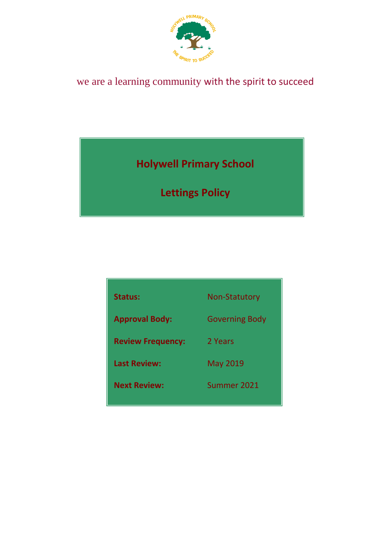

# we are a learning community with the spirit to succeed

**Holywell Primary School**

**Lettings Policy**

| Status:                  | <b>Non-Statutory</b>  |
|--------------------------|-----------------------|
| <b>Approval Body:</b>    | <b>Governing Body</b> |
| <b>Review Frequency:</b> | 2 Years               |
| <b>Last Review:</b>      | <b>May 2019</b>       |
| <b>Next Review:</b>      | Summer 2021           |
|                          |                       |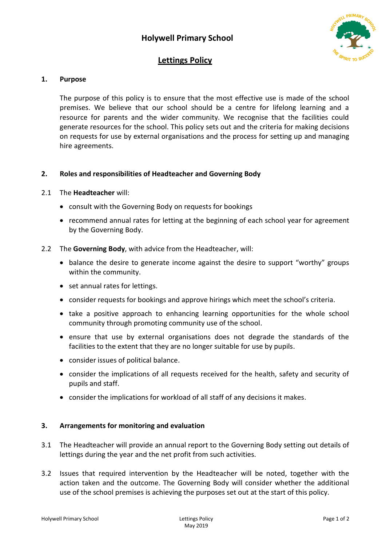

## **Lettings Policy**

## **1. Purpose**

The purpose of this policy is to ensure that the most effective use is made of the school premises. We believe that our school should be a centre for lifelong learning and a resource for parents and the wider community. We recognise that the facilities could generate resources for the school. This policy sets out and the criteria for making decisions on requests for use by external organisations and the process for setting up and managing hire agreements.

#### **2. Roles and responsibilities of Headteacher and Governing Body**

#### 2.1 The **Headteacher** will:

- consult with the Governing Body on requests for bookings
- recommend annual rates for letting at the beginning of each school year for agreement by the Governing Body.
- 2.2 The **Governing Body**, with advice from the Headteacher, will:
	- balance the desire to generate income against the desire to support "worthy" groups within the community.
	- set annual rates for lettings.
	- consider requests for bookings and approve hirings which meet the school's criteria.
	- take a positive approach to enhancing learning opportunities for the whole school community through promoting community use of the school.
	- ensure that use by external organisations does not degrade the standards of the facilities to the extent that they are no longer suitable for use by pupils.
	- consider issues of political balance.
	- consider the implications of all requests received for the health, safety and security of pupils and staff.
	- consider the implications for workload of all staff of any decisions it makes.

## **3. Arrangements for monitoring and evaluation**

- 3.1 The Headteacher will provide an annual report to the Governing Body setting out details of lettings during the year and the net profit from such activities.
- 3.2 Issues that required intervention by the Headteacher will be noted, together with the action taken and the outcome. The Governing Body will consider whether the additional use of the school premises is achieving the purposes set out at the start of this policy.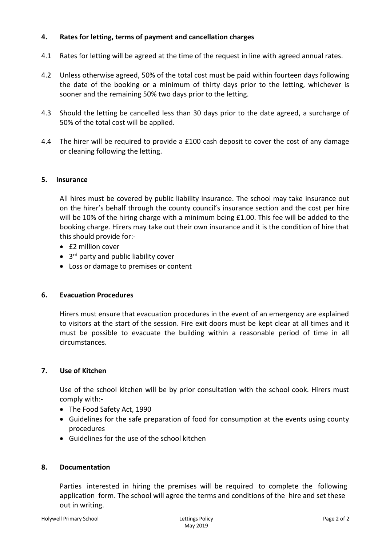## **4. Rates for letting, terms of payment and cancellation charges**

- 4.1 Rates for letting will be agreed at the time of the request in line with agreed annual rates.
- 4.2 Unless otherwise agreed, 50% of the total cost must be paid within fourteen days following the date of the booking or a minimum of thirty days prior to the letting, whichever is sooner and the remaining 50% two days prior to the letting.
- 4.3 Should the letting be cancelled less than 30 days prior to the date agreed, a surcharge of 50% of the total cost will be applied.
- 4.4 The hirer will be required to provide a £100 cash deposit to cover the cost of any damage or cleaning following the letting.

#### **5. Insurance**

All hires must be covered by public liability insurance. The school may take insurance out on the hirer's behalf through the county council's insurance section and the cost per hire will be 10% of the hiring charge with a minimum being £1.00. This fee will be added to the booking charge. Hirers may take out their own insurance and it is the condition of hire that this should provide for:-

- $•$   $f2$  million cover
- 3<sup>rd</sup> party and public liability cover
- Loss or damage to premises or content

#### **6. Evacuation Procedures**

Hirers must ensure that evacuation procedures in the event of an emergency are explained to visitors at the start of the session. Fire exit doors must be kept clear at all times and it must be possible to evacuate the building within a reasonable period of time in all circumstances.

#### **7. Use of Kitchen**

Use of the school kitchen will be by prior consultation with the school cook. Hirers must comply with:-

- The Food Safety Act, 1990
- Guidelines for the safe preparation of food for consumption at the events using county procedures
- Guidelines for the use of the school kitchen

## **8. Documentation**

Parties interested in hiring the premises will be required to complete the following application form. The school will agree the terms and conditions of the hire and set these out in writing.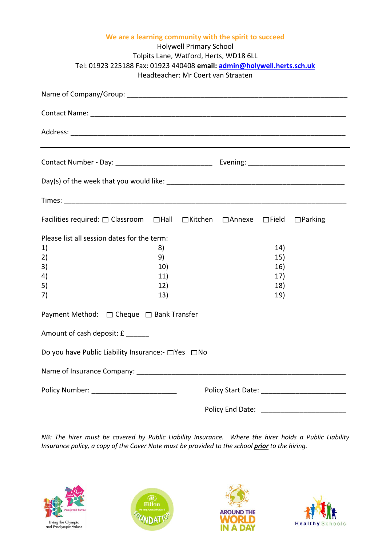| We are a learning community with the spirit to succeed<br><b>Holywell Primary School</b><br>Tolpits Lane, Watford, Herts, WD18 6LL<br>Tel: 01923 225188 Fax: 01923 440408 email: admin@holywell.herts.sch.uk<br>Headteacher: Mr Coert van Straaten |                                                           |  |  |                                        |  |  |
|----------------------------------------------------------------------------------------------------------------------------------------------------------------------------------------------------------------------------------------------------|-----------------------------------------------------------|--|--|----------------------------------------|--|--|
|                                                                                                                                                                                                                                                    |                                                           |  |  |                                        |  |  |
|                                                                                                                                                                                                                                                    |                                                           |  |  |                                        |  |  |
|                                                                                                                                                                                                                                                    |                                                           |  |  |                                        |  |  |
|                                                                                                                                                                                                                                                    |                                                           |  |  |                                        |  |  |
|                                                                                                                                                                                                                                                    |                                                           |  |  |                                        |  |  |
|                                                                                                                                                                                                                                                    |                                                           |  |  |                                        |  |  |
| Facilities required: $\Box$ Classroom $\Box$ Hall $\Box$ Kitchen $\Box$ Annexe $\Box$ Field $\Box$ Parking                                                                                                                                         |                                                           |  |  |                                        |  |  |
| Please list all session dates for the term:<br>1)<br>2)<br>3)<br>4)<br>5)<br>7)                                                                                                                                                                    | 8)<br>9)<br>10)<br>11)<br>12)<br>13)                      |  |  | 14)<br>15)<br>16)<br>17)<br>18)<br>19) |  |  |
| Payment Method: □ Cheque □ Bank Transfer                                                                                                                                                                                                           |                                                           |  |  |                                        |  |  |
| Amount of cash deposit: £                                                                                                                                                                                                                          |                                                           |  |  |                                        |  |  |
| Do you have Public Liability Insurance:- □ Yes □ No                                                                                                                                                                                                |                                                           |  |  |                                        |  |  |
|                                                                                                                                                                                                                                                    |                                                           |  |  |                                        |  |  |
| Policy Number: ___________________________                                                                                                                                                                                                         |                                                           |  |  |                                        |  |  |
|                                                                                                                                                                                                                                                    | Policy End Date:<br><u> 1980 - Jan Barbarat, martin a</u> |  |  |                                        |  |  |

*NB: The hirer must be covered by Public Liability Insurance. Where the hirer holds a Public Liability Insurance policy, a copy of the Cover Note must be provided to the school prior to the hiring.*